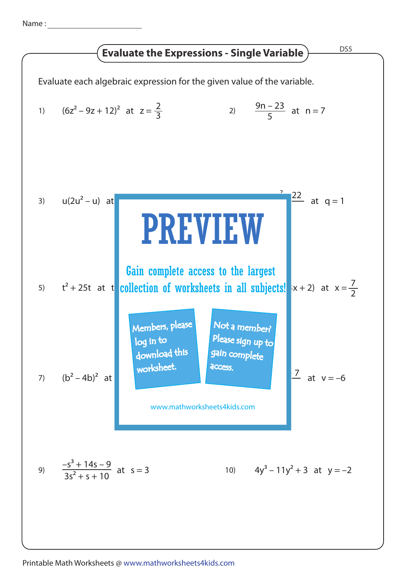